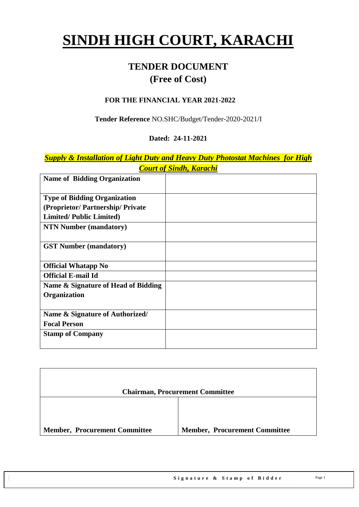# **SINDH HIGH COURT, KARACHI**

# **TENDER DOCUMENT (Free of Cost)**

#### **FOR THE FINANCIAL YEAR 2021-2022**

**Tender Reference** NO.SHC/Budget/Tender-2020-2021/I

#### **Dated: 24-11-2021**

*Supply & Installation of Light Duty and Heavy Duty Photostat Machines for High Court of Sindh, Karachi*

| <b>Name of Bidding Organization</b> |  |
|-------------------------------------|--|
| <b>Type of Bidding Organization</b> |  |
| (Proprietor/Partnership/Private     |  |
| <b>Limited/Public Limited)</b>      |  |
| <b>NTN Number (mandatory)</b>       |  |
|                                     |  |
| <b>GST Number (mandatory)</b>       |  |
|                                     |  |
| <b>Official Whatapp No</b>          |  |
| <b>Official E-mail Id</b>           |  |
| Name & Signature of Head of Bidding |  |
| <b>Organization</b>                 |  |
|                                     |  |
| Name & Signature of Authorized/     |  |
| <b>Focal Person</b>                 |  |
| <b>Stamp of Company</b>             |  |
|                                     |  |

|                                      | <b>Chairman, Procurement Committee</b> |
|--------------------------------------|----------------------------------------|
|                                      |                                        |
| <b>Member, Procurement Committee</b> | <b>Member, Procurement Committee</b>   |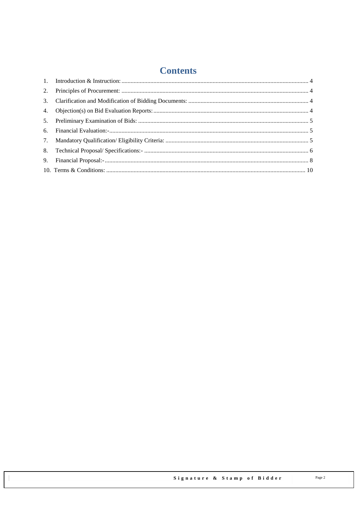# **Contents**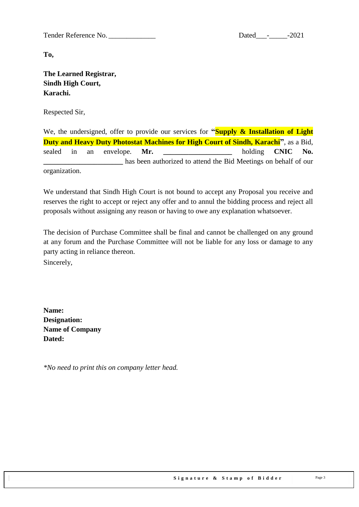Tender Reference No. 2021

**To,** 

**The Learned Registrar, Sindh High Court, Karachi.**

Respected Sir,

We, the undersigned, offer to provide our services for **"Supply & Installation of Light Duty and Heavy Duty Photostat Machines for High Court of Sindh, Karachi"**, as a Bid, sealed in an envelope. **Mr. \_\_\_\_\_\_\_\_\_\_\_\_\_\_\_\_\_\_\_** holding **CNIC No.**  has been authorized to attend the Bid Meetings on behalf of our organization.

We understand that Sindh High Court is not bound to accept any Proposal you receive and reserves the right to accept or reject any offer and to annul the bidding process and reject all proposals without assigning any reason or having to owe any explanation whatsoever.

The decision of Purchase Committee shall be final and cannot be challenged on any ground at any forum and the Purchase Committee will not be liable for any loss or damage to any party acting in reliance thereon.

Sincerely,

**Name: Designation: Name of Company Dated:**

*\*No need to print this on company letter head.*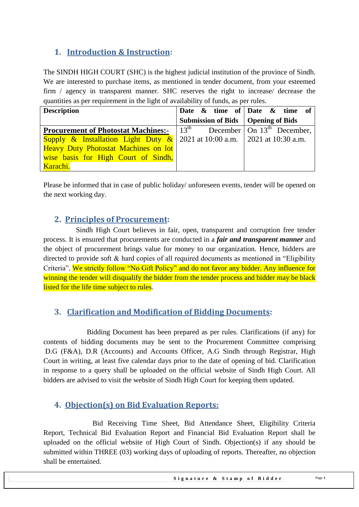## <span id="page-3-0"></span>**1. Introduction & Instruction:**

The SINDH HIGH COURT (SHC) is the highest judicial institution of the province of [Sindh.](https://en.wikipedia.org/wiki/Sindh) We are interested to purchase items, as mentioned in tender document, from your esteemed firm / agency in transparent manner. SHC reserves the right to increase/ decrease the quantities as per requirement in the light of availability of funds, as per rules.

| <b>Description</b>                                                                             |                                      | Date & time of   Date & time of |
|------------------------------------------------------------------------------------------------|--------------------------------------|---------------------------------|
|                                                                                                | Submission of Bids   Opening of Bids |                                 |
| <b>Procurement of Photostat Machines:</b> $ 13^{th} $ December   On 13 <sup>th</sup> December, |                                      |                                 |
| Supply & Installation Light Duty & 2021 at 10:00 a.m. 2021 at 10:30 a.m.                       |                                      |                                 |
| <b>Heavy Duty Photostat Machines on lot</b>                                                    |                                      |                                 |
| wise basis for High Court of Sindh,                                                            |                                      |                                 |
| Karachi.                                                                                       |                                      |                                 |

<span id="page-3-1"></span>Please be informed that in case of public holiday/ unforeseen events, tender will be opened on the next working day.

#### **2. Principles of Procurement:**

 Sindh High Court believes in fair, open, transparent and corruption free tender process. It is ensured that procurements are conducted in a *fair and transparent manner* and the object of procurement brings value for money to our organization. Hence, bidders are directed to provide soft  $\&$  hard copies of all required documents as mentioned in "Eligibility" Criteria". We strictly follow "No Gift Policy" and do not favor any bidder. Any influence for winning the tender will disqualify the bidder from the tender process and bidder may be black listed for the life time subject to rules.

## <span id="page-3-2"></span>**3. Clarification and Modification of Bidding Documents:**

Bidding Document has been prepared as per rules. Clarifications (if any) for contents of bidding documents may be sent to the Procurement Committee comprising D.G (F&A), D.R (Accounts) and Accounts Officer, A.G Sindh through Registrar, High Court in writing, at least five calendar days prior to the date of opening of bid. Clarification in response to a query shall be uploaded on the official website of Sindh High Court. All bidders are advised to visit the website of Sindh High Court for keeping them updated.

#### <span id="page-3-3"></span>**4. Objection(s) on Bid Evaluation Reports:**

 Bid Receiving Time Sheet, Bid Attendance Sheet, Eligibility Criteria Report, Technical Bid Evaluation Report and Financial Bid Evaluation Report shall be uploaded on the official website of High Court of Sindh. Objection(s) if any should be submitted within THREE (03) working days of uploading of reports. Thereafter, no objection shall be entertained.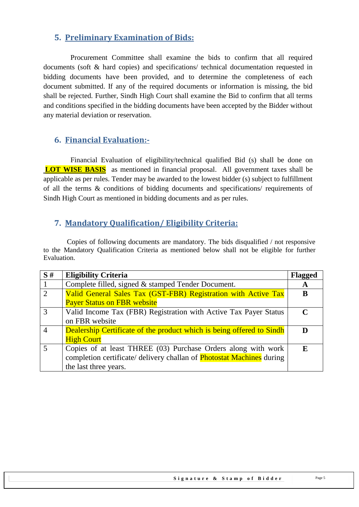#### <span id="page-4-0"></span>**5. Preliminary Examination of Bids:**

 Procurement Committee shall examine the bids to confirm that all required documents (soft & hard copies) and specifications/ technical documentation requested in bidding documents have been provided, and to determine the completeness of each document submitted. If any of the required documents or information is missing, the bid shall be rejected. Further, Sindh High Court shall examine the Bid to confirm that all terms and conditions specified in the bidding documents have been accepted by the Bidder without any material deviation or reservation.

#### <span id="page-4-1"></span>**6. Financial Evaluation:-**

 Financial Evaluation of eligibility/technical qualified Bid (s) shall be done on **LOT WISE BASIS** as mentioned in financial proposal. All government taxes shall be applicable as per rules. Tender may be awarded to the lowest bidder (s) subject to fulfillment of all the terms & conditions of bidding documents and specifications/ requirements of Sindh High Court as mentioned in bidding documents and as per rules.

#### <span id="page-4-2"></span>**7. Mandatory Qualification/ Eligibility Criteria:**

 Copies of following documents are mandatory. The bids disqualified / not responsive to the Mandatory Qualification Criteria as mentioned below shall not be eligible for further Evaluation.

| S#             | <b>Eligibility Criteria</b>                                                  | <b>Flagged</b> |
|----------------|------------------------------------------------------------------------------|----------------|
|                | Complete filled, signed & stamped Tender Document.                           | A              |
| 2              | Valid General Sales Tax (GST-FBR) Registration with Active Tax               |                |
|                | <b>Payer Status on FBR website</b>                                           |                |
| $\overline{3}$ | Valid Income Tax (FBR) Registration with Active Tax Payer Status             | $\mathbf C$    |
|                | on FBR website                                                               |                |
| $\overline{4}$ | Dealership Certificate of the product which is being offered to Sindh        |                |
|                | <b>High Court</b>                                                            |                |
| $\overline{5}$ | Copies of at least THREE (03) Purchase Orders along with work                | F.             |
|                | completion certificate/ delivery challan of <b>Photostat Machines</b> during |                |
|                | the last three years.                                                        |                |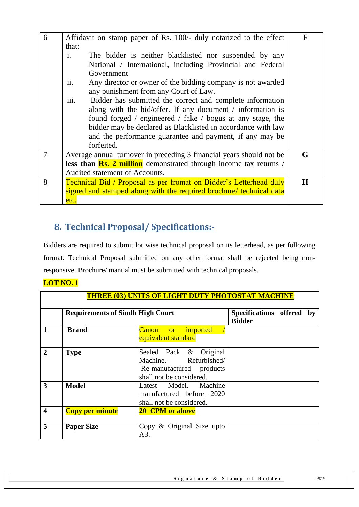| 6 | Affidavit on stamp paper of Rs. 100/- duly notarized to the effect                                      | F |
|---|---------------------------------------------------------------------------------------------------------|---|
|   | that:                                                                                                   |   |
|   | $\mathbf{i}$ .<br>The bidder is neither blacklisted nor suspended by any                                |   |
|   | National / International, including Provincial and Federal                                              |   |
|   | Government                                                                                              |   |
|   | ii.<br>Any director or owner of the bidding company is not awarded                                      |   |
|   | any punishment from any Court of Law.                                                                   |   |
|   | iii.<br>Bidder has submitted the correct and complete information                                       |   |
|   | along with the bid/offer. If any document / information is                                              |   |
|   | found forged / engineered / fake / bogus at any stage, the                                              |   |
|   | bidder may be declared as Blacklisted in accordance with law                                            |   |
|   | and the performance guarantee and payment, if any may be                                                |   |
|   | forfeited.                                                                                              |   |
| 7 | Average annual turnover in preceding 3 financial years should not be                                    | G |
|   | <b>less than <math>\frac{Rs. 2 \text{ million}}{s}</math></b> demonstrated through income tax returns / |   |
|   | Audited statement of Accounts.                                                                          |   |
| 8 | <b>Technical Bid / Proposal as per fromat on Bidder's Letterhead duly</b>                               | H |
|   | signed and stamped along with the required brochure/ technical data                                     |   |
|   | etc.                                                                                                    |   |

## <span id="page-5-0"></span>**8. Technical Proposal/ Specifications:-**

Bidders are required to submit lot wise technical proposal on its letterhead, as per following format. Technical Proposal submitted on any other format shall be rejected being nonresponsive. Brochure/ manual must be submitted with technical proposals.

#### **LOT NO. 1**

| <b>THREE (03) UNITS OF LIGHT DUTY PHOTOSTAT MACHINE</b> |                                         |                                                                                                         |                                               |  |
|---------------------------------------------------------|-----------------------------------------|---------------------------------------------------------------------------------------------------------|-----------------------------------------------|--|
|                                                         | <b>Requirements of Sindh High Court</b> |                                                                                                         | Specifications offered<br>by<br><b>Bidder</b> |  |
| $\mathbf{1}$                                            | <b>Brand</b>                            | <b>Canon</b> or imported<br>equivalent standard                                                         |                                               |  |
| $\overline{2}$                                          | <b>Type</b>                             | Sealed Pack & Original<br>Machine. Refurbished/<br>Re-manufactured products<br>shall not be considered. |                                               |  |
| $\overline{3}$                                          | <b>Model</b>                            | Latest Model. Machine<br>manufactured before 2020<br>shall not be considered.                           |                                               |  |
| $\overline{\mathbf{4}}$                                 | <b>Copy per minute</b>                  | <b>20 CPM or above</b>                                                                                  |                                               |  |
| 5                                                       | <b>Paper Size</b>                       | Copy & Original Size upto<br>A3.                                                                        |                                               |  |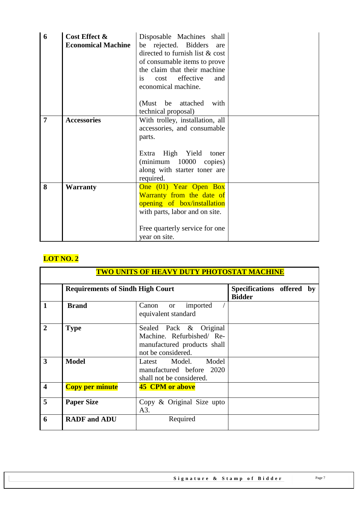| 6              | Cost Effect &<br><b>Economical Machine</b> | Disposable Machines shall<br>be rejected. Bidders<br>are<br>directed to furnish list & cost<br>of consumable items to prove<br>the claim that their machine<br>cost effective<br>and<br>is.<br>economical machine. |  |
|----------------|--------------------------------------------|--------------------------------------------------------------------------------------------------------------------------------------------------------------------------------------------------------------------|--|
|                |                                            | attached<br>(Must be<br>with<br>technical proposal)                                                                                                                                                                |  |
| $\overline{7}$ | <b>Accessories</b>                         | With trolley, installation, all<br>accessories, and consumable<br>parts.<br>High Yield<br>Extra<br>toner<br>$(\text{minimum} \quad 10000$<br>copies)<br>along with starter toner are<br>required.                  |  |
| 8              | <b>Warranty</b>                            | One (01) Year Open Box<br>Warranty from the date of<br>opening of box/installation<br>with parts, labor and on site.<br>Free quarterly service for one<br>year on site.                                            |  |

## **LOT NO. 2**

| <u>TWO UNITS OF HEAVY DUTY PHOTOSTAT MACHINE</u> |                                         |                                                                                                          |                                            |  |  |
|--------------------------------------------------|-----------------------------------------|----------------------------------------------------------------------------------------------------------|--------------------------------------------|--|--|
|                                                  | <b>Requirements of Sindh High Court</b> |                                                                                                          | Specifications offered by<br><b>Bidder</b> |  |  |
| $\mathbf{1}$                                     | <b>Brand</b>                            | imported<br>Canon<br><b>or</b><br>equivalent standard                                                    |                                            |  |  |
| $\overline{2}$                                   | <b>Type</b>                             | Sealed Pack & Original<br>Machine. Refurbished/ Re-<br>manufactured products shall<br>not be considered. |                                            |  |  |
| $\overline{3}$                                   | <b>Model</b>                            | Latest Model.<br>Model<br>manufactured before 2020<br>shall not be considered.                           |                                            |  |  |
| $\overline{\mathbf{4}}$                          | <b>Copy per minute</b>                  | <b>45 CPM or above</b>                                                                                   |                                            |  |  |
| 5                                                | <b>Paper Size</b>                       | Copy & Original Size upto<br>A3.                                                                         |                                            |  |  |
| -6                                               | <b>RADF</b> and ADU                     | Required                                                                                                 |                                            |  |  |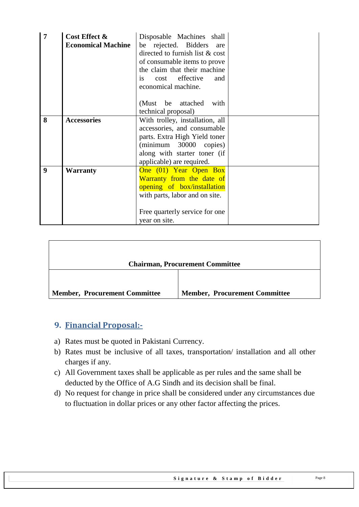| $\overline{7}$ | Cost Effect &<br><b>Economical Machine</b> | Disposable Machines shall<br>be rejected. Bidders are<br>directed to furnish list & cost<br>of consumable items to prove<br>the claim that their machine<br>cost effective<br>and<br>is.<br>economical machine. |  |
|----------------|--------------------------------------------|-----------------------------------------------------------------------------------------------------------------------------------------------------------------------------------------------------------------|--|
|                |                                            | (Must be attached<br>with<br>technical proposal)                                                                                                                                                                |  |
| 8              | <b>Accessories</b>                         | With trolley, installation, all<br>accessories, and consumable<br>parts. Extra High Yield toner<br>(minimum 30000 copies)<br>along with starter toner (if<br>applicable) are required.                          |  |
| 9              | Warranty                                   | One (01) Year Open Box<br>Warranty from the date of<br>opening of box/installation<br>with parts, labor and on site.<br>Free quarterly service for one<br>year on site.                                         |  |

|                                      | <b>Chairman, Procurement Committee</b> |
|--------------------------------------|----------------------------------------|
| <b>Member, Procurement Committee</b> | <b>Member, Procurement Committee</b>   |

#### <span id="page-7-0"></span>**9. Financial Proposal:-**

- a) Rates must be quoted in Pakistani Currency.
- b) Rates must be inclusive of all taxes, transportation/ installation and all other charges if any.
- c) All Government taxes shall be applicable as per rules and the same shall be deducted by the Office of A.G Sindh and its decision shall be final.
- d) No request for change in price shall be considered under any circumstances due to fluctuation in dollar prices or any other factor affecting the prices.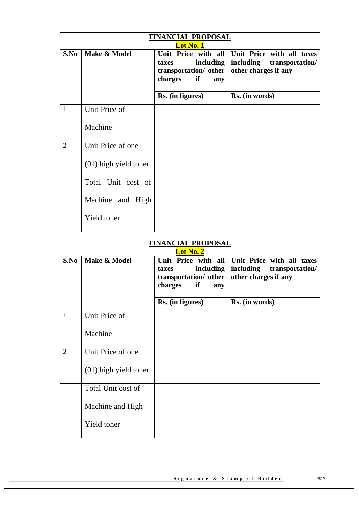| <b>FINANCIAL PROPOSAL</b><br><b>Lot No. 1</b> |                         |                                                                     |                                                                                                    |  |
|-----------------------------------------------|-------------------------|---------------------------------------------------------------------|----------------------------------------------------------------------------------------------------|--|
| S.No                                          | Make & Model            | including<br>taxes<br>transportation/ other<br>charges<br>if<br>any | Unit Price with all Unit Price with all taxes<br>including transportation/<br>other charges if any |  |
|                                               |                         | Rs. (in figures)                                                    | Rs. (in words)                                                                                     |  |
| $\mathbf{1}$                                  | Unit Price of           |                                                                     |                                                                                                    |  |
|                                               | Machine                 |                                                                     |                                                                                                    |  |
| $\overline{2}$                                | Unit Price of one       |                                                                     |                                                                                                    |  |
|                                               | $(01)$ high yield toner |                                                                     |                                                                                                    |  |
|                                               | Total Unit cost of      |                                                                     |                                                                                                    |  |
|                                               | Machine and High        |                                                                     |                                                                                                    |  |
|                                               | Yield toner             |                                                                     |                                                                                                    |  |

| <b>FINANCIAL PROPOSAL</b><br>Lot No. 2 |                         |                                                                                            |                                                                                   |  |
|----------------------------------------|-------------------------|--------------------------------------------------------------------------------------------|-----------------------------------------------------------------------------------|--|
| S.No                                   | Make & Model            | Unit Price with all<br>including<br>taxes<br>transportation/ other<br>charges<br>if<br>any | Unit Price with all taxes<br>including<br>transportation/<br>other charges if any |  |
|                                        |                         | Rs. (in figures)                                                                           | Rs. (in words)                                                                    |  |
| $\mathbf{1}$                           | Unit Price of           |                                                                                            |                                                                                   |  |
|                                        | Machine                 |                                                                                            |                                                                                   |  |
| $\overline{2}$                         | Unit Price of one       |                                                                                            |                                                                                   |  |
|                                        | $(01)$ high yield toner |                                                                                            |                                                                                   |  |
|                                        | Total Unit cost of      |                                                                                            |                                                                                   |  |
|                                        | Machine and High        |                                                                                            |                                                                                   |  |
|                                        | Yield toner             |                                                                                            |                                                                                   |  |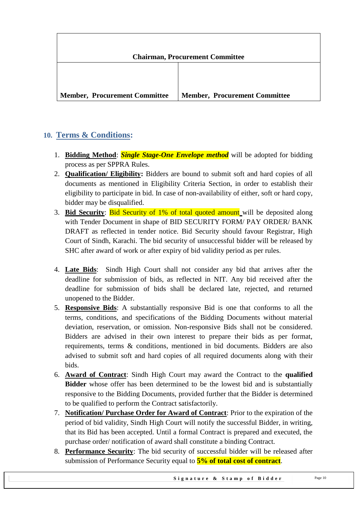

## <span id="page-9-0"></span>**10. Terms & Conditions:**

- 1. **Bidding Method**: *Single Stage-One Envelope method* will be adopted for bidding process as per SPPRA Rules.
- 2. **Qualification/ Eligibility:** Bidders are bound to submit soft and hard copies of all documents as mentioned in Eligibility Criteria Section, in order to establish their eligibility to participate in bid. In case of non-availability of either, soft or hard copy, bidder may be disqualified.
- 3. **Bid Security**: Bid Security of 1% of total quoted amount will be deposited along with Tender Document in shape of BID SECURITY FORM/ PAY ORDER/ BANK DRAFT as reflected in tender notice. Bid Security should favour Registrar, High Court of Sindh, Karachi. The bid security of unsuccessful bidder will be released by SHC after award of work or after expiry of bid validity period as per rules.
- 4. **Late Bids**: Sindh High Court shall not consider any bid that arrives after the deadline for submission of bids, as reflected in NIT. Any bid received after the deadline for submission of bids shall be declared late, rejected, and returned unopened to the Bidder.
- 5. **Responsive Bids**: A substantially responsive Bid is one that conforms to all the terms, conditions, and specifications of the Bidding Documents without material deviation, reservation, or omission. Non-responsive Bids shall not be considered. Bidders are advised in their own interest to prepare their bids as per format, requirements, terms & conditions, mentioned in bid documents. Bidders are also advised to submit soft and hard copies of all required documents along with their bids.
- 6. **Award of Contract**: Sindh High Court may award the Contract to the **qualified Bidder** whose offer has been determined to be the lowest bid and is substantially responsive to the Bidding Documents, provided further that the Bidder is determined to be qualified to perform the Contract satisfactorily.
- 7. **Notification/ Purchase Order for Award of Contract**: Prior to the expiration of the period of bid validity, Sindh High Court will notify the successful Bidder, in writing, that its Bid has been accepted. Until a formal Contract is prepared and executed, the purchase order/ notification of award shall constitute a binding Contract.
- 8. **Performance Security**: The bid security of successful bidder will be released after submission of Performance Security equal to **5% of total cost of contract**.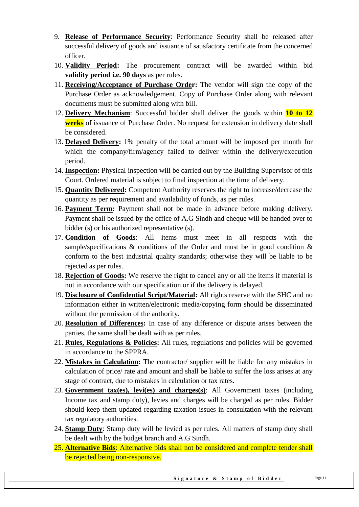- 9. **Release of Performance Security**: Performance Security shall be released after successful delivery of goods and issuance of satisfactory certificate from the concerned officer.
- 10. **Validity Period:** The procurement contract will be awarded within bid **validity period i.e. 90 days** as per rules.
- 11. **Receiving/Acceptance of Purchase Order:** The vendor will sign the copy of the Purchase Order as acknowledgement. Copy of Purchase Order along with relevant documents must be submitted along with bill.
- 12. **Delivery Mechanism**: Successful bidder shall deliver the goods within **10 to 12 weeks** of issuance of Purchase Order. No request for extension in delivery date shall be considered.
- 13. **Delayed Delivery:** 1% penalty of the total amount will be imposed per month for which the company/firm/agency failed to deliver within the delivery/execution period.
- 14. **Inspection:** Physical inspection will be carried out by the Building Supervisor of this Court. Ordered material is subject to final inspection at the time of delivery.
- 15. **Quantity Delivered:** Competent Authority reserves the right to increase/decrease the quantity as per requirement and availability of funds, as per rules.
- 16. **Payment Term:** Payment shall not be made in advance before making delivery. Payment shall be issued by the office of A.G Sindh and cheque will be handed over to bidder (s) or his authorized representative (s).
- 17. **Condition of Goods**: All items must meet in all respects with the sample/specifications  $\&$  conditions of the Order and must be in good condition  $\&$ conform to the best industrial quality standards; otherwise they will be liable to be rejected as per rules.
- 18. **Rejection of Goods:** We reserve the right to cancel any or all the items if material is not in accordance with our specification or if the delivery is delayed.
- 19. **Disclosure of Confidential Script/Material:** All rights reserve with the SHC and no information either in written/electronic media/copying form should be disseminated without the permission of the authority.
- 20. **Resolution of Differences:** In case of any difference or dispute arises between the parties, the same shall be dealt with as per rules.
- 21. **Rules, Regulations & Policies:** All rules, regulations and policies will be governed in accordance to the SPPRA.
- 22. **Mistakes in Calculation:** The contractor/ supplier will be liable for any mistakes in calculation of price/ rate and amount and shall be liable to suffer the loss arises at any stage of contract, due to mistakes in calculation or tax rates.
- 23. **Government tax(es), levi(es) and charges(s)**: All Government taxes (including Income tax and stamp duty), levies and charges will be charged as per rules. Bidder should keep them updated regarding taxation issues in consultation with the relevant tax regulatory authorities.
- 24. **Stamp Duty**: Stamp duty will be levied as per rules. All matters of stamp duty shall be dealt with by the budget branch and A.G Sindh.
- 25. **Alternative Bids**: Alternative bids shall not be considered and complete tender shall be rejected being non-responsive.

Signature & Stamp of Bidder Page 11